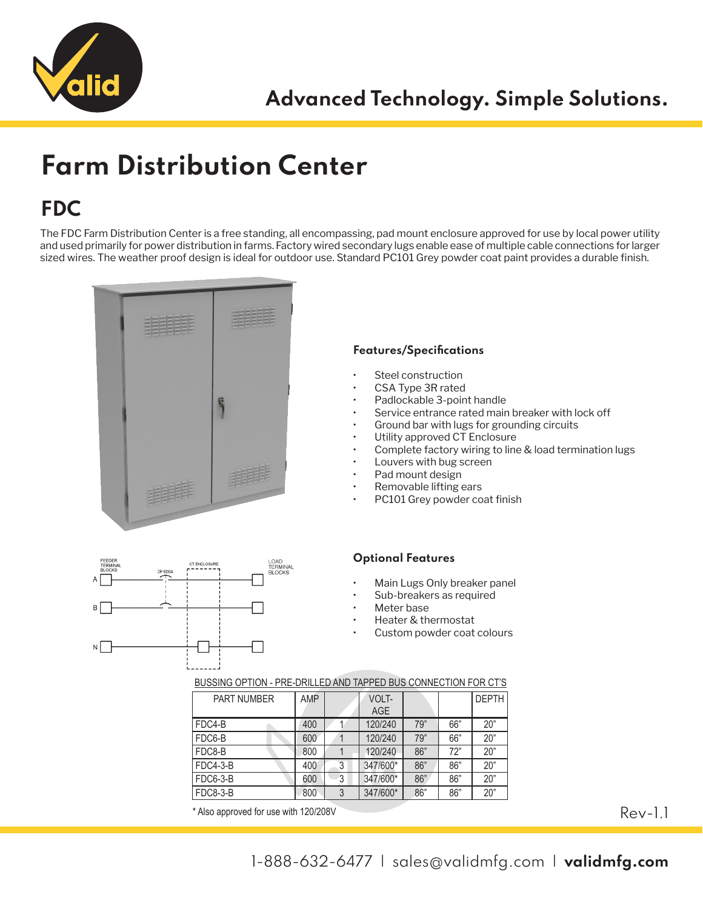

## **Farm Distribution Center**

### **FDC**

The FDC Farm Distribution Center is a free standing, all encompassing, pad mount enclosure approved for use by local power utility and used primarily for power distribution in farms. Factory wired secondary lugs enable ease of multiple cable connections for larger sized wires. The weather proof design is ideal for outdoor use. Standard PC101 Grey powder coat paint provides a durable finish.



#### **Features/Specifications**

- Steel construction
- CSA Type 3R rated
- Padlockable 3-point handle
- Service entrance rated main breaker with lock off
- Ground bar with lugs for grounding circuits
- Utility approved CT Enclosure
- Complete factory wiring to line & load termination lugs
- Louvers with bug screen
- Pad mount design
- Removable lifting ears
- PC101 Grey powder coat finish

#### **Optional Features**

- Main Lugs Only breaker panel
- Sub-breakers as required
- Meter base
- Heater & thermostat
- Custom powder coat colours



#### BUSSING OPTION - PRE-DRILLED AND TAPPED BUS CONNECTION FOR CT'S

| <b>PART NUMBER</b> | AMP |   | VOLT-      |     |     | <b>DEPTH</b> |
|--------------------|-----|---|------------|-----|-----|--------------|
|                    |     |   | <b>AGE</b> |     |     |              |
| FDC4-B             | 400 |   | 120/240    | 79" | 66" | 20"          |
| FDC6-B             | 600 |   | 120/240    | 79" | 66" | 20"          |
| FDC8-B             | 800 |   | 120/240    | 86" | 72" | 20"          |
| $FDC4-3-B$         | 400 | 3 | 347/600*   | 86" | 86" | 20"          |
| <b>FDC6-3-B</b>    | 600 | 3 | 347/600*   | 86" | 86" | 20"          |
| <b>FDC8-3-B</b>    | 800 | 3 | 347/600*   | 86" | 86" | 20"          |

\* Also approved for use with 120/208V

Rev-1.1